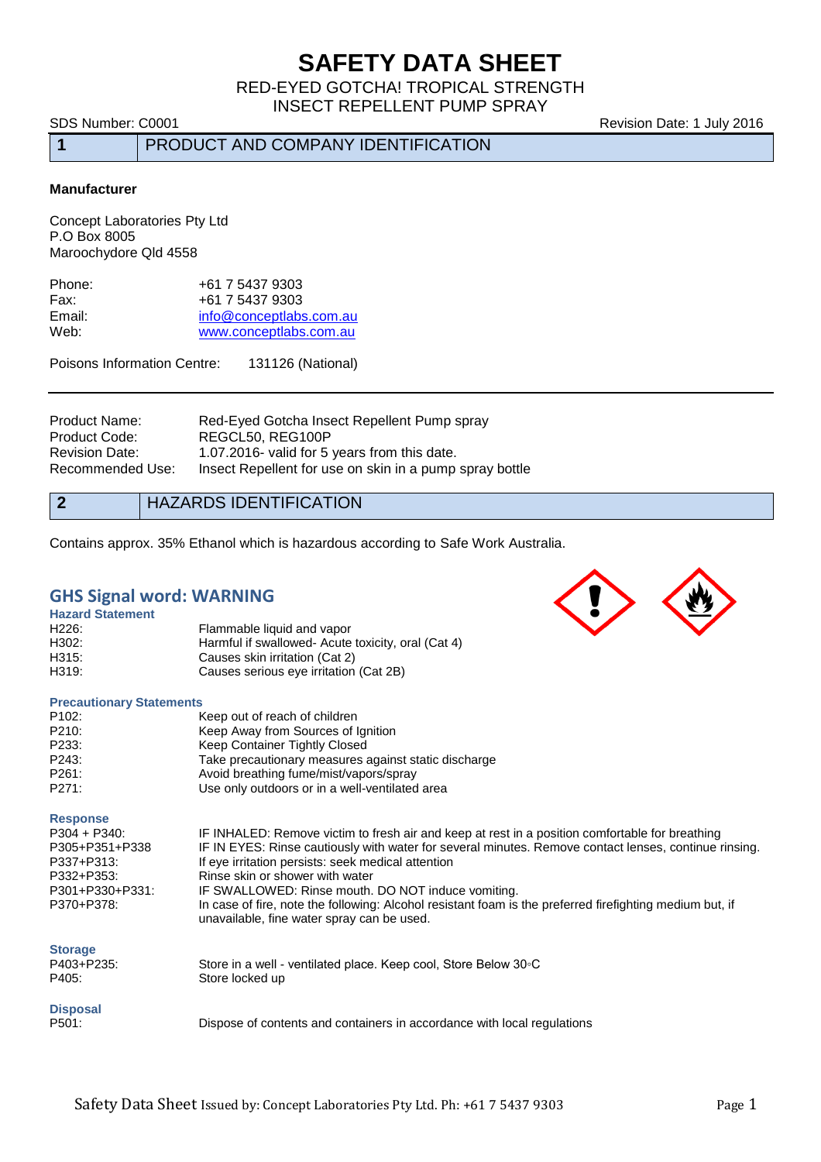# **SAFETY DATA SHEET**

RED-EYED GOTCHA! TROPICAL STRENGTH INSECT REPELLENT PUMP SPRAY

**1** PRODUCT AND COMPANY IDENTIFICATION

SDS Number: C0001 **Revision Date: 1 July 2016** Revision Date: 1 July 2016

**Manufacturer**

Concept Laboratories Pty Ltd P.O Box 8005 Maroochydore Qld 4558

| +61 7 5437 9303         |
|-------------------------|
| +61 7 5437 9303         |
| info@conceptlabs.com.au |
| www.conceptlabs.com.au  |
|                         |

Poisons Information Centre: 131126 (National)

Product Name: Red-Eyed Gotcha Insect Repellent Pump spray Product Code: REGCL50, REG100P<br>Revision Date: 1.07.2016- valid for 5 1.07.2016- valid for 5 years from this date. Recommended Use: Insect Repellent for use on skin in a pump spray bottle

**2** HAZARDS IDENTIFICATION

Contains approx. 35% Ethanol which is hazardous according to Safe Work Australia.

### **GHS Signal word: WARNING**

| <b>Hazard Statement</b> |                                                    |
|-------------------------|----------------------------------------------------|
| H <sub>226</sub> :      | Flammable liquid and vapor                         |
| H302:                   | Harmful if swallowed- Acute toxicity, oral (Cat 4) |
| H315:                   | Causes skin irritation (Cat 2)                     |
| H319:                   | Causes serious eye irritation (Cat 2B)             |
|                         |                                                    |

### **Precautionary Statements**

| P <sub>102</sub> : | Keep out of reach of children                        |
|--------------------|------------------------------------------------------|
| P210:              | Keep Away from Sources of Ignition                   |
| P233:              | Keep Container Tightly Closed                        |
| P243:              | Take precautionary measures against static discharge |
| P261:              | Avoid breathing fume/mist/vapors/spray               |
| P271:              | Use only outdoors or in a well-ventilated area       |
|                    |                                                      |

**Response**

#### P403+P235: P403+P235: Store in a well - ventilated place. Keep cool, Store Below 30◦C<br>P405: Store locked up Store locked up

# **Disposal**

Dispose of contents and containers in accordance with local regulations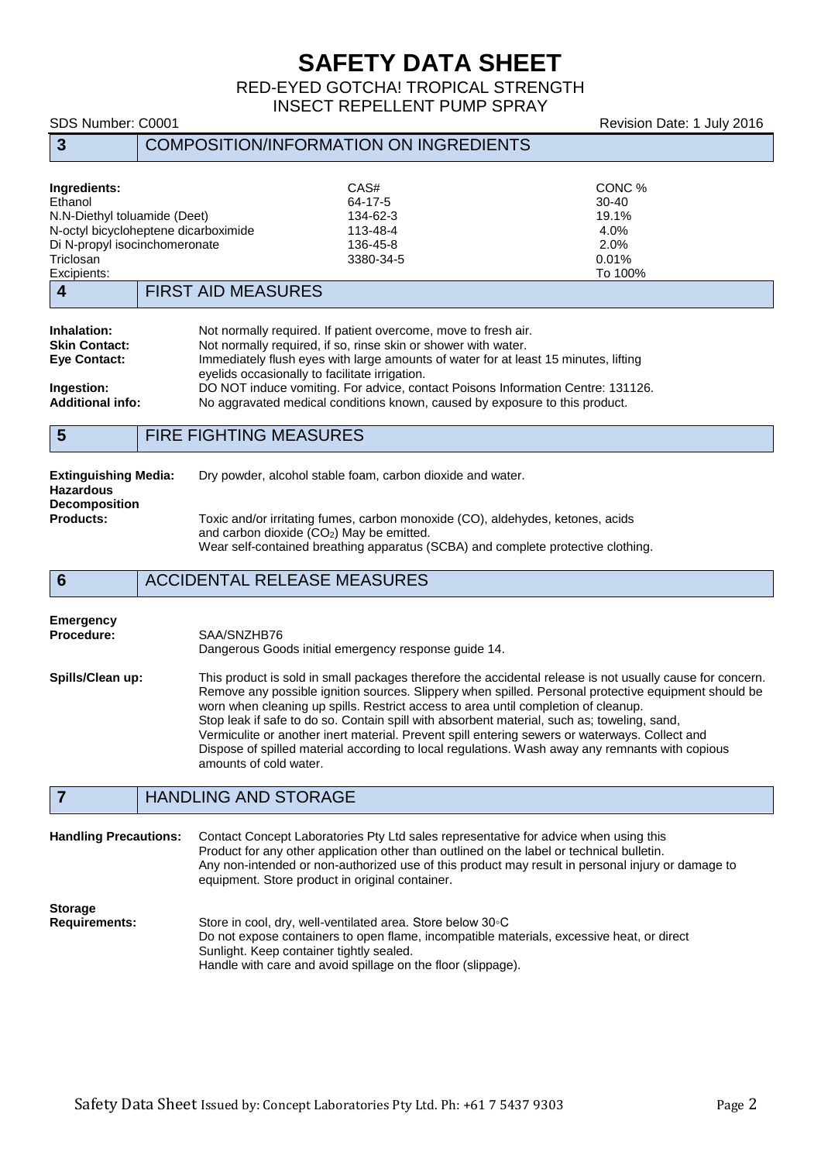# **SAFETY DATA SHEET**

RED-EYED GOTCHA! TROPICAL STRENGTH INSECT REPELLENT PUMP SPRAY

| SDS Number: C0001                                                                                                                                            |                                               |                                                       |                                                                                                                                                                                                                                                                                                                                                                                           | Revision Date: 1 July 2016                                       |
|--------------------------------------------------------------------------------------------------------------------------------------------------------------|-----------------------------------------------|-------------------------------------------------------|-------------------------------------------------------------------------------------------------------------------------------------------------------------------------------------------------------------------------------------------------------------------------------------------------------------------------------------------------------------------------------------------|------------------------------------------------------------------|
| $\mathbf{3}$                                                                                                                                                 | <b>COMPOSITION/INFORMATION ON INGREDIENTS</b> |                                                       |                                                                                                                                                                                                                                                                                                                                                                                           |                                                                  |
| Ingredients:<br>Ethanol<br>N.N-Diethyl toluamide (Deet)<br>N-octyl bicycloheptene dicarboximide<br>Di N-propyl isocinchomeronate<br>Triclosan<br>Excipients: |                                               |                                                       | CAS#<br>64-17-5<br>134-62-3<br>113-48-4<br>136-45-8<br>3380-34-5                                                                                                                                                                                                                                                                                                                          | CONC %<br>$30 - 40$<br>19.1%<br>4.0%<br>2.0%<br>0.01%<br>To 100% |
| $\overline{\mathbf{4}}$                                                                                                                                      |                                               | <b>FIRST AID MEASURES</b>                             |                                                                                                                                                                                                                                                                                                                                                                                           |                                                                  |
| Inhalation:<br><b>Skin Contact:</b><br><b>Eve Contact:</b><br>Ingestion:<br><b>Additional info:</b>                                                          |                                               | eyelids occasionally to facilitate irrigation.        | Not normally required. If patient overcome, move to fresh air.<br>Not normally required, if so, rinse skin or shower with water.<br>Immediately flush eyes with large amounts of water for at least 15 minutes, lifting<br>DO NOT induce vomiting. For advice, contact Poisons Information Centre: 131126.<br>No aggravated medical conditions known, caused by exposure to this product. |                                                                  |
| $5\phantom{1}$                                                                                                                                               |                                               | <b>FIRE FIGHTING MEASURES</b>                         |                                                                                                                                                                                                                                                                                                                                                                                           |                                                                  |
| <b>Extinguishing Media:</b><br><b>Hazardous</b><br><b>Decomposition</b><br><b>Products:</b>                                                                  |                                               | and carbon dioxide (CO <sub>2</sub> ) May be emitted. | Dry powder, alcohol stable foam, carbon dioxide and water.<br>Toxic and/or irritating fumes, carbon monoxide (CO), aldehydes, ketones, acids<br>Wear self-contained breathing apparatus (SCBA) and complete protective clothing.                                                                                                                                                          |                                                                  |
| 6                                                                                                                                                            |                                               | <b>ACCIDENTAL RELEASE MEASURES</b>                    |                                                                                                                                                                                                                                                                                                                                                                                           |                                                                  |
| <b>Emergency</b><br>Procedure:                                                                                                                               |                                               | SAA/SNZHB76                                           | Dangerous Goods initial emergency response guide 14.                                                                                                                                                                                                                                                                                                                                      |                                                                  |

**Spills/Clean up:** This product is sold in small packages therefore the accidental release is not usually cause for concern. Remove any possible ignition sources. Slippery when spilled. Personal protective equipment should be worn when cleaning up spills. Restrict access to area until completion of cleanup. Stop leak if safe to do so. Contain spill with absorbent material, such as; toweling, sand, Vermiculite or another inert material. Prevent spill entering sewers or waterways. Collect and Dispose of spilled material according to local regulations. Wash away any remnants with copious amounts of cold water.

# **7** HANDLING AND STORAGE

**Handling Precautions:** Contact Concept Laboratories Pty Ltd sales representative for advice when using this Product for any other application other than outlined on the label or technical bulletin. Any non-intended or non-authorized use of this product may result in personal injury or damage to equipment. Store product in original container.

**Storage**

Store in cool, dry, well-ventilated area. Store below 30◦C Do not expose containers to open flame, incompatible materials, excessive heat, or direct Sunlight. Keep container tightly sealed. Handle with care and avoid spillage on the floor (slippage).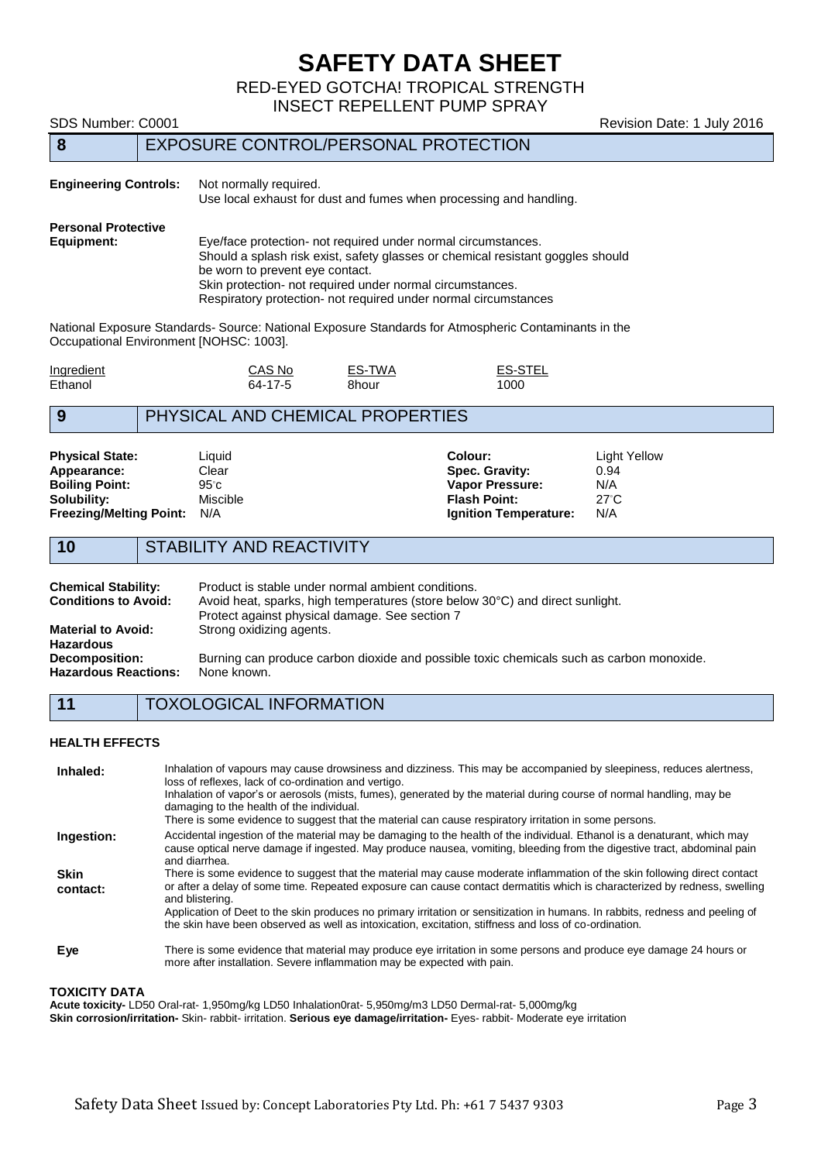# **SAFETY DATA SHEET**

RED-EYED GOTCHA! TROPICAL STRENGTH

INSECT REPELLENT PUMP SPRAY

SDS Number: C0001 **Revision Date: 1 July 2016 8** EXPOSURE CONTROL/PERSONAL PROTECTION **Engineering Controls:** Not normally required. Use local exhaust for dust and fumes when processing and handling. **Personal Protective** Eye/face protection- not required under normal circumstances. Should a splash risk exist, safety glasses or chemical resistant goggles should be worn to prevent eye contact. Skin protection- not required under normal circumstances. Respiratory protection- not required under normal circumstances National Exposure Standards- Source: National Exposure Standards for Atmospheric Contaminants in the Occupational Environment [NOHSC: 1003]. <u>Ingredient</u> CAS No ES-TWA ES-STEL<br>
Ethanol 64-17-5 8hour 1000 Ethanol 64-17-5 8hour 1000 **9** PHYSICAL AND CHEMICAL PROPERTIES **Physical State:** Colour: Colour: Light Yellow Colour: Light Yellow Colour: Light Yellow Colour: Light Yellow Colour: Light Yellow Colour: 20094 **Appearance:** Clear Clear **Spec. Gravity:** 0.94<br> **Spec. Gravity:** 0.94<br> **Spec. Gravity:** 0.94<br> **Spec. Gravity:** 0.94 **Vapor Pressure: Solubility:** Miscible **Flash Point:** 27◦C **Freezing/Melting Point:** N/A **Ignition Temperature:** N/A **10** STABILITY AND REACTIVITY **Chemical Stability:** Product is stable under normal ambient conditions.<br>**Conditions to Avoid:** Avoid heat. sparks. high temperatures (store below Avoid heat, sparks, high temperatures (store below 30°C) and direct sunlight. Protect against physical damage. See section 7 **Material to Avoid:** Strong oxidizing agents. **Hazardous**  Burning can produce carbon dioxide and possible toxic chemicals such as carbon monoxide.<br>None known **Hazardous Reactions: 11** TOXOLOGICAL INFORMATION **HEALTH EFFECTS** Inhaled: Inhalation of vapours may cause drowsiness and dizziness. This may be accompanied by sleepiness, reduces alertness, loss of reflexes, lack of co-ordination and vertigo. Inhalation of vapor's or aerosols (mists, fumes), generated by the material during course of normal handling, may be damaging to the health of the individual.

There is some evidence to suggest that the material can cause respiratory irritation in some persons. **Ingestion:** Accidental ingestion of the material may be damaging to the health of the individual. Ethanol is a denaturant, which may cause optical nerve damage if ingested. May produce nausea, vomiting, bleeding from the digestive tract, abdominal pain and diarrhea. **Skin contact:** There is some evidence to suggest that the material may cause moderate inflammation of the skin following direct contact or after a delay of some time. Repeated exposure can cause contact dermatitis which is characterized by redness, swelling and blistering. Application of Deet to the skin produces no primary irritation or sensitization in humans. In rabbits, redness and peeling of the skin have been observed as well as intoxication, excitation, stiffness and loss of co-ordination. **Eye** There is some evidence that material may produce eye irritation in some persons and produce eye damage 24 hours or more after installation. Severe inflammation may be expected with pain.

### **TOXICITY DATA**

**Acute toxicity-** LD50 Oral-rat- 1,950mg/kg LD50 Inhalation0rat- 5,950mg/m3 LD50 Dermal-rat- 5,000mg/kg **Skin corrosion/irritation-** Skin- rabbit- irritation. **Serious eye damage/irritation-** Eyes- rabbit- Moderate eye irritation